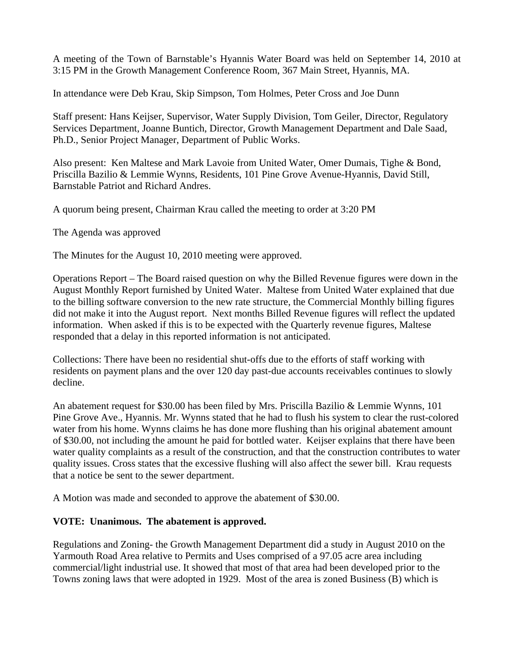A meeting of the Town of Barnstable's Hyannis Water Board was held on September 14, 2010 at 3:15 PM in the Growth Management Conference Room, 367 Main Street, Hyannis, MA.

In attendance were Deb Krau, Skip Simpson, Tom Holmes, Peter Cross and Joe Dunn

Staff present: Hans Keijser, Supervisor, Water Supply Division, Tom Geiler, Director, Regulatory Services Department, Joanne Buntich, Director, Growth Management Department and Dale Saad, Ph.D., Senior Project Manager, Department of Public Works.

Also present: Ken Maltese and Mark Lavoie from United Water, Omer Dumais, Tighe & Bond, Priscilla Bazilio & Lemmie Wynns, Residents, 101 Pine Grove Avenue-Hyannis, David Still, Barnstable Patriot and Richard Andres.

A quorum being present, Chairman Krau called the meeting to order at 3:20 PM

The Agenda was approved

The Minutes for the August 10, 2010 meeting were approved.

Operations Report – The Board raised question on why the Billed Revenue figures were down in the August Monthly Report furnished by United Water. Maltese from United Water explained that due to the billing software conversion to the new rate structure, the Commercial Monthly billing figures did not make it into the August report. Next months Billed Revenue figures will reflect the updated information. When asked if this is to be expected with the Quarterly revenue figures, Maltese responded that a delay in this reported information is not anticipated.

Collections: There have been no residential shut-offs due to the efforts of staff working with residents on payment plans and the over 120 day past-due accounts receivables continues to slowly decline.

An abatement request for \$30.00 has been filed by Mrs. Priscilla Bazilio & Lemmie Wynns, 101 Pine Grove Ave., Hyannis. Mr. Wynns stated that he had to flush his system to clear the rust-colored water from his home. Wynns claims he has done more flushing than his original abatement amount of \$30.00, not including the amount he paid for bottled water. Keijser explains that there have been water quality complaints as a result of the construction, and that the construction contributes to water quality issues. Cross states that the excessive flushing will also affect the sewer bill. Krau requests that a notice be sent to the sewer department.

A Motion was made and seconded to approve the abatement of \$30.00.

## **VOTE: Unanimous. The abatement is approved.**

Regulations and Zoning- the Growth Management Department did a study in August 2010 on the Yarmouth Road Area relative to Permits and Uses comprised of a 97.05 acre area including commercial/light industrial use. It showed that most of that area had been developed prior to the Towns zoning laws that were adopted in 1929. Most of the area is zoned Business (B) which is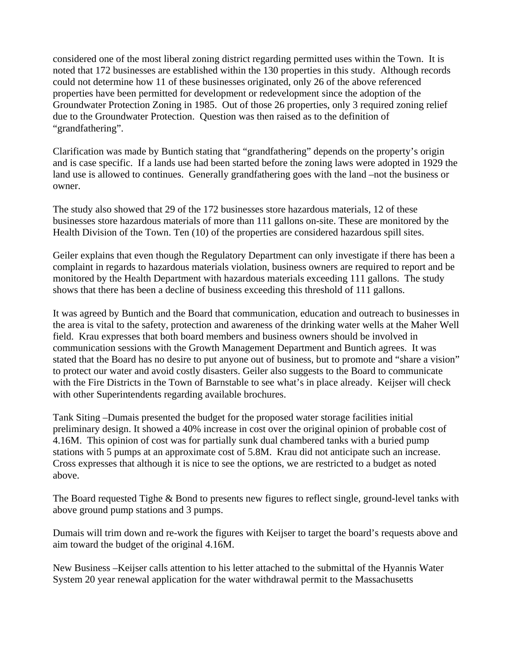considered one of the most liberal zoning district regarding permitted uses within the Town. It is noted that 172 businesses are established within the 130 properties in this study. Although records could not determine how 11 of these businesses originated, only 26 of the above referenced properties have been permitted for development or redevelopment since the adoption of the Groundwater Protection Zoning in 1985. Out of those 26 properties, only 3 required zoning relief due to the Groundwater Protection. Question was then raised as to the definition of "grandfathering".

Clarification was made by Buntich stating that "grandfathering" depends on the property's origin and is case specific. If a lands use had been started before the zoning laws were adopted in 1929 the land use is allowed to continues. Generally grandfathering goes with the land –not the business or owner.

The study also showed that 29 of the 172 businesses store hazardous materials, 12 of these businesses store hazardous materials of more than 111 gallons on-site. These are monitored by the Health Division of the Town. Ten (10) of the properties are considered hazardous spill sites.

Geiler explains that even though the Regulatory Department can only investigate if there has been a complaint in regards to hazardous materials violation, business owners are required to report and be monitored by the Health Department with hazardous materials exceeding 111 gallons. The study shows that there has been a decline of business exceeding this threshold of 111 gallons.

It was agreed by Buntich and the Board that communication, education and outreach to businesses in the area is vital to the safety, protection and awareness of the drinking water wells at the Maher Well field. Krau expresses that both board members and business owners should be involved in communication sessions with the Growth Management Department and Buntich agrees. It was stated that the Board has no desire to put anyone out of business, but to promote and "share a vision" to protect our water and avoid costly disasters. Geiler also suggests to the Board to communicate with the Fire Districts in the Town of Barnstable to see what's in place already. Keijser will check with other Superintendents regarding available brochures.

Tank Siting –Dumais presented the budget for the proposed water storage facilities initial preliminary design. It showed a 40% increase in cost over the original opinion of probable cost of 4.16M. This opinion of cost was for partially sunk dual chambered tanks with a buried pump stations with 5 pumps at an approximate cost of 5.8M. Krau did not anticipate such an increase. Cross expresses that although it is nice to see the options, we are restricted to a budget as noted above.

The Board requested Tighe & Bond to presents new figures to reflect single, ground-level tanks with above ground pump stations and 3 pumps.

Dumais will trim down and re-work the figures with Keijser to target the board's requests above and aim toward the budget of the original 4.16M.

New Business –Keijser calls attention to his letter attached to the submittal of the Hyannis Water System 20 year renewal application for the water withdrawal permit to the Massachusetts